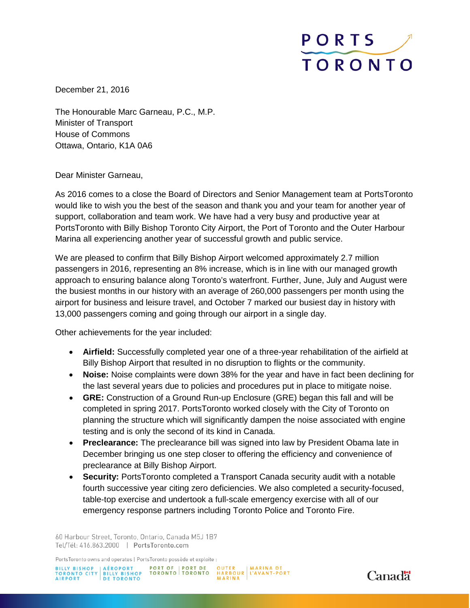

December 21, 2016

The Honourable Marc Garneau, P.C., M.P. Minister of Transport House of Commons Ottawa, Ontario, K1A 0A6

## Dear Minister Garneau,

As 2016 comes to a close the Board of Directors and Senior Management team at PortsToronto would like to wish you the best of the season and thank you and your team for another year of support, collaboration and team work. We have had a very busy and productive year at PortsToronto with Billy Bishop Toronto City Airport, the Port of Toronto and the Outer Harbour Marina all experiencing another year of successful growth and public service.

We are pleased to confirm that Billy Bishop Airport welcomed approximately 2.7 million passengers in 2016, representing an 8% increase, which is in line with our managed growth approach to ensuring balance along Toronto's waterfront. Further, June, July and August were the busiest months in our history with an average of 260,000 passengers per month using the airport for business and leisure travel, and October 7 marked our busiest day in history with 13,000 passengers coming and going through our airport in a single day.

Other achievements for the year included:

- **Airfield:** Successfully completed year one of a three-year rehabilitation of the airfield at Billy Bishop Airport that resulted in no disruption to flights or the community.
- **Noise:** Noise complaints were down 38% for the year and have in fact been declining for the last several years due to policies and procedures put in place to mitigate noise.
- **GRE:** Construction of a Ground Run-up Enclosure (GRE) began this fall and will be completed in spring 2017. PortsToronto worked closely with the City of Toronto on planning the structure which will significantly dampen the noise associated with engine testing and is only the second of its kind in Canada.
- **Preclearance:** The preclearance bill was signed into law by President Obama late in December bringing us one step closer to offering the efficiency and convenience of preclearance at Billy Bishop Airport.
- **Security:** PortsToronto completed a Transport Canada security audit with a notable fourth successive year citing zero deficiencies. We also completed a security-focused, table-top exercise and undertook a full-scale emergency exercise with all of our emergency response partners including Toronto Police and Toronto Fire.

60 Harbour Street, Toronto, Ontario, Canada M5J 1B7 Tel/Tél: 416.863.2000 | PortsToronto.com

PortsToronto owns and operates | PortsToronto possède et exploite :